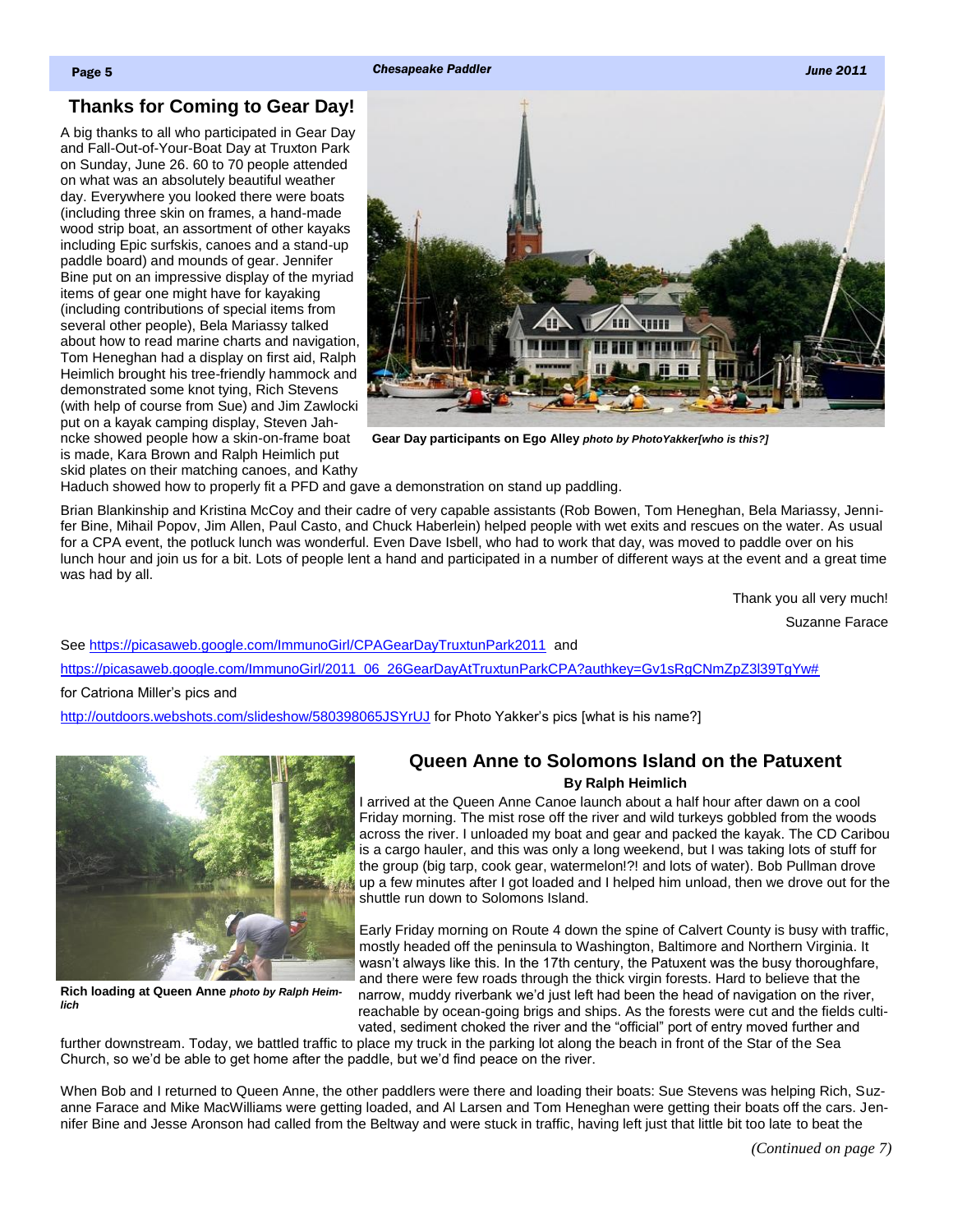Page 5 *Chesapeake Paddler June 2011*

## **Thanks for Coming to Gear Day!**

A big thanks to all who participated in Gear Day and Fall-Out-of-Your-Boat Day at Truxton Park on Sunday, June 26. 60 to 70 people attended on what was an absolutely beautiful weather day. Everywhere you looked there were boats (including three skin on frames, a hand-made wood strip boat, an assortment of other kayaks including Epic surfskis, canoes and a stand-up paddle board) and mounds of gear. Jennifer Bine put on an impressive display of the myriad items of gear one might have for kayaking (including contributions of special items from several other people), Bela Mariassy talked about how to read marine charts and navigation, Tom Heneghan had a display on first aid, Ralph Heimlich brought his tree-friendly hammock and demonstrated some knot tying, Rich Stevens (with help of course from Sue) and Jim Zawlocki put on a kayak camping display, Steven Jahncke showed people how a skin-on-frame boat is made, Kara Brown and Ralph Heimlich put skid plates on their matching canoes, and Kathy



**Gear Day participants on Ego Alley** *photo by PhotoYakker[who is this?]*

Haduch showed how to properly fit a PFD and gave a demonstration on stand up paddling.

Brian Blankinship and Kristina McCoy and their cadre of very capable assistants (Rob Bowen, Tom Heneghan, Bela Mariassy, Jennifer Bine, Mihail Popov, Jim Allen, Paul Casto, and Chuck Haberlein) helped people with wet exits and rescues on the water. As usual for a CPA event, the potluck lunch was wonderful. Even Dave Isbell, who had to work that day, was moved to paddle over on his lunch hour and join us for a bit. Lots of people lent a hand and participated in a number of different ways at the event and a great time was had by all.

Thank you all very much!

Suzanne Farace

See<https://picasaweb.google.com/ImmunoGirl/CPAGearDayTruxtunPark2011>and [https://picasaweb.google.com/ImmunoGirl/2011\\_06\\_26GearDayAtTruxtunParkCPA?authkey=Gv1sRgCNmZpZ3l39TgYw#](https://picasaweb.google.com/ImmunoGirl/2011_06_26GearDayAtTruxtunParkCPA?authkey=Gv1sRgCNmZpZ3l39TgYw) for Catriona Miller's pics and

<span id="page-0-0"></span><http://outdoors.webshots.com/slideshow/580398065JSYrUJ> for Photo Yakker's pics [what is his name?]



**Rich loading at Queen Anne** *photo by Ralph Heimlich*

## **Queen Anne to Solomons Island on the Patuxent By Ralph Heimlich**

I arrived at the Queen Anne Canoe launch about a half hour after dawn on a cool Friday morning. The mist rose off the river and wild turkeys gobbled from the woods across the river. I unloaded my boat and gear and packed the kayak. The CD Caribou is a cargo hauler, and this was only a long weekend, but I was taking lots of stuff for the group (big tarp, cook gear, watermelon!?! and lots of water). Bob Pullman drove up a few minutes after I got loaded and I helped him unload, then we drove out for the shuttle run down to Solomons Island.

Early Friday morning on Route 4 down the spine of Calvert County is busy with traffic, mostly headed off the peninsula to Washington, Baltimore and Northern Virginia. It wasn't always like this. In the 17th century, the Patuxent was the busy thoroughfare, and there were few roads through the thick virgin forests. Hard to believe that the narrow, muddy riverbank we'd just left had been the head of navigation on the river, reachable by ocean-going brigs and ships. As the forests were cut and the fields cultivated, sediment choked the river and the "official" port of entry moved further and

further downstream. Today, we battled traffic to place my truck in the parking lot along the beach in front of the Star of the Sea Church, so we'd be able to get home after the paddle, but we'd find peace on the river.

When Bob and I returned to Queen Anne, the other paddlers were there and loading their boats: Sue Stevens was helping Rich, Suzanne Farace and Mike MacWilliams were getting loaded, and Al Larsen and Tom Heneghan were getting their boats off the cars. Jennifer Bine and Jesse Aronson had called from the Beltway and were stuck in traffic, having left just that little bit too late to beat the